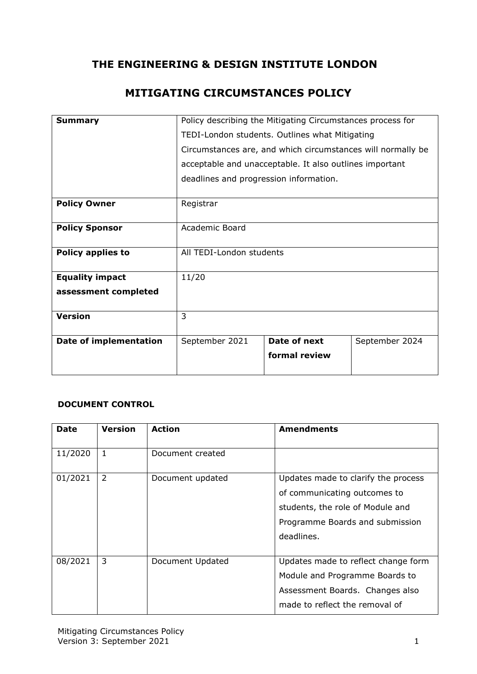# **THE ENGINEERING & DESIGN INSTITUTE LONDON**

# **MITIGATING CIRCUMSTANCES POLICY**

| <b>Summary</b>                | Policy describing the Mitigating Circumstances process for  |               |                |  |
|-------------------------------|-------------------------------------------------------------|---------------|----------------|--|
|                               | TEDI-London students. Outlines what Mitigating              |               |                |  |
|                               | Circumstances are, and which circumstances will normally be |               |                |  |
|                               | acceptable and unacceptable. It also outlines important     |               |                |  |
|                               | deadlines and progression information.                      |               |                |  |
| <b>Policy Owner</b>           | Registrar                                                   |               |                |  |
| <b>Policy Sponsor</b>         | Academic Board                                              |               |                |  |
| <b>Policy applies to</b>      | All TEDI-London students                                    |               |                |  |
| <b>Equality impact</b>        | 11/20                                                       |               |                |  |
| assessment completed          |                                                             |               |                |  |
| <b>Version</b>                | $\overline{3}$                                              |               |                |  |
| <b>Date of implementation</b> | September 2021                                              | Date of next  | September 2024 |  |
|                               |                                                             | formal review |                |  |

### **DOCUMENT CONTROL**

| <b>Date</b> | <b>Version</b> | <b>Action</b>    | <b>Amendments</b>                   |
|-------------|----------------|------------------|-------------------------------------|
| 11/2020     | 1              | Document created |                                     |
| 01/2021     | 2              | Document updated | Updates made to clarify the process |
|             |                |                  | of communicating outcomes to        |
|             |                |                  | students, the role of Module and    |
|             |                |                  | Programme Boards and submission     |
|             |                |                  | deadlines.                          |
|             |                |                  |                                     |
| 08/2021     | 3              | Document Updated | Updates made to reflect change form |
|             |                |                  | Module and Programme Boards to      |
|             |                |                  | Assessment Boards. Changes also     |
|             |                |                  | made to reflect the removal of      |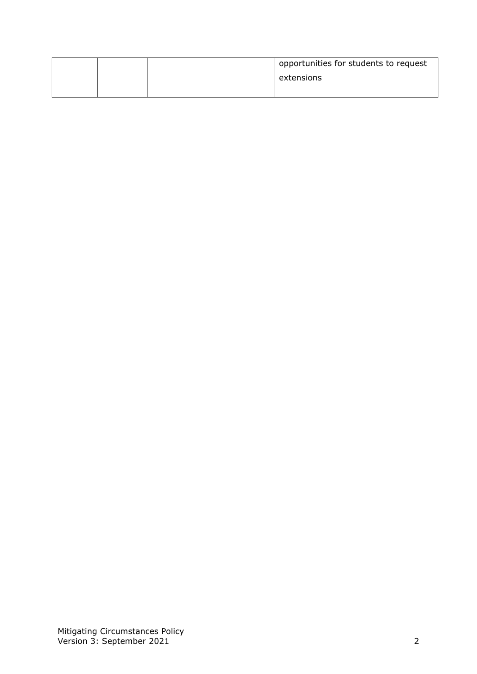|  | opportunities for students to request |
|--|---------------------------------------|
|  | extensions                            |
|  |                                       |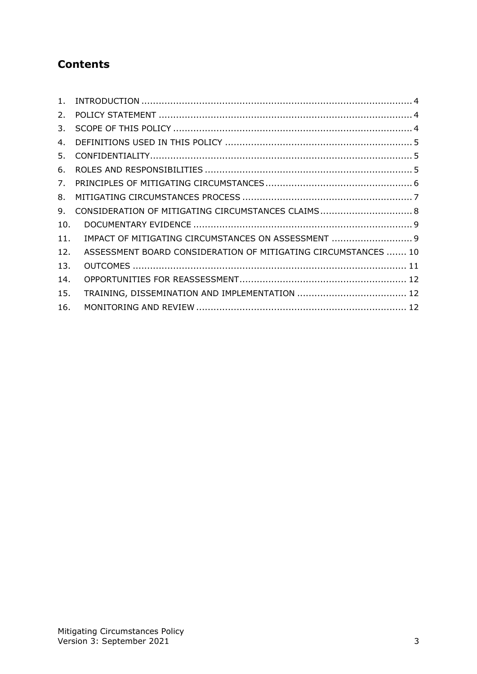# **Contents**

| 1.  |                                                                |
|-----|----------------------------------------------------------------|
| 2.  |                                                                |
| 3.  |                                                                |
| 4.  |                                                                |
| 5.  |                                                                |
| 6.  |                                                                |
| 7.  |                                                                |
| 8.  |                                                                |
| 9.  | CONSIDERATION OF MITIGATING CIRCUMSTANCES CLAIMS 8             |
| 10. |                                                                |
| 11. | IMPACT OF MITIGATING CIRCUMSTANCES ON ASSESSMENT  9            |
| 12. | ASSESSMENT BOARD CONSIDERATION OF MITIGATING CIRCUMSTANCES  10 |
| 13. |                                                                |
| 14. |                                                                |
| 15. |                                                                |
| 16. |                                                                |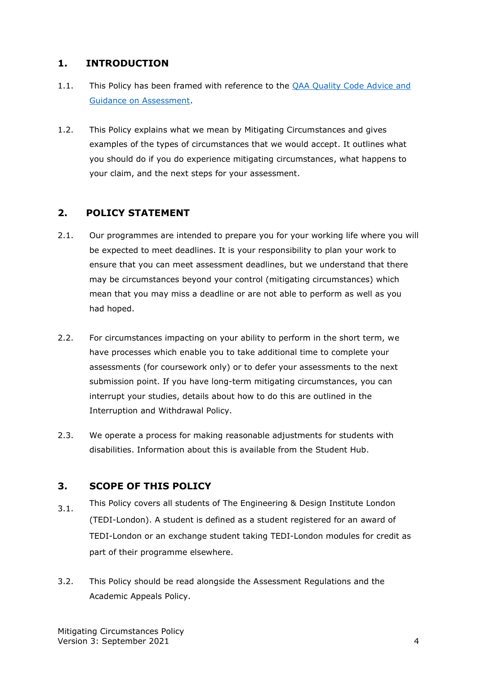### <span id="page-3-0"></span>**1. INTRODUCTION**

- 1.1. This Policy has been framed with reference to the [QAA Quality Code](https://www.qaa.ac.uk/docs/qaa/quality-code/advice-and-guidance-assessment.pdf?sfvrsn=ca29c181_4) Advice and [Guidance on Assessment.](https://www.qaa.ac.uk/docs/qaa/quality-code/advice-and-guidance-assessment.pdf?sfvrsn=ca29c181_4)
- 1.2. This Policy explains what we mean by Mitigating Circumstances and gives examples of the types of circumstances that we would accept. It outlines what you should do if you do experience mitigating circumstances, what happens to your claim, and the next steps for your assessment.

### <span id="page-3-1"></span>**2. POLICY STATEMENT**

- 2.1. Our programmes are intended to prepare you for your working life where you will be expected to meet deadlines. It is your responsibility to plan your work to ensure that you can meet assessment deadlines, but we understand that there may be circumstances beyond your control (mitigating circumstances) which mean that you may miss a deadline or are not able to perform as well as you had hoped.
- 2.2. For circumstances impacting on your ability to perform in the short term, we have processes which enable you to take additional time to complete your assessments (for coursework only) or to defer your assessments to the next submission point. If you have long-term mitigating circumstances, you can interrupt your studies, details about how to do this are outlined in the Interruption and Withdrawal Policy.
- 2.3. We operate a process for making reasonable adjustments for students with disabilities. Information about this is available from the Student Hub.

#### <span id="page-3-2"></span>**3. SCOPE OF THIS POLICY**

- 3.1. This Policy covers all students of The Engineering & Design Institute London (TEDI-London). A student is defined as a student registered for an award of TEDI-London or an exchange student taking TEDI-London modules for credit as part of their programme elsewhere.
- 3.2. This Policy should be read alongside the Assessment Regulations and the Academic Appeals Policy.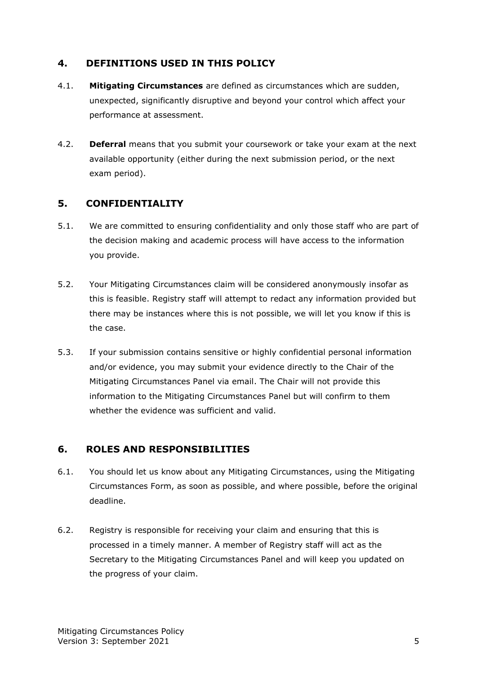### <span id="page-4-0"></span>**4. DEFINITIONS USED IN THIS POLICY**

- 4.1. **Mitigating Circumstances** are defined as circumstances which are sudden, unexpected, significantly disruptive and beyond your control which affect your performance at assessment.
- 4.2. **Deferral** means that you submit your coursework or take your exam at the next available opportunity (either during the next submission period, or the next exam period).

### <span id="page-4-1"></span>**5. CONFIDENTIALITY**

- 5.1. We are committed to ensuring confidentiality and only those staff who are part of the decision making and academic process will have access to the information you provide.
- 5.2. Your Mitigating Circumstances claim will be considered anonymously insofar as this is feasible. Registry staff will attempt to redact any information provided but there may be instances where this is not possible, we will let you know if this is the case.
- 5.3. If your submission contains sensitive or highly confidential personal information and/or evidence, you may submit your evidence directly to the Chair of the Mitigating Circumstances Panel via email. The Chair will not provide this information to the Mitigating Circumstances Panel but will confirm to them whether the evidence was sufficient and valid.

## <span id="page-4-2"></span>**6. ROLES AND RESPONSIBILITIES**

- 6.1. You should let us know about any Mitigating Circumstances, using the Mitigating Circumstances Form, as soon as possible, and where possible, before the original deadline.
- 6.2. Registry is responsible for receiving your claim and ensuring that this is processed in a timely manner. A member of Registry staff will act as the Secretary to the Mitigating Circumstances Panel and will keep you updated on the progress of your claim.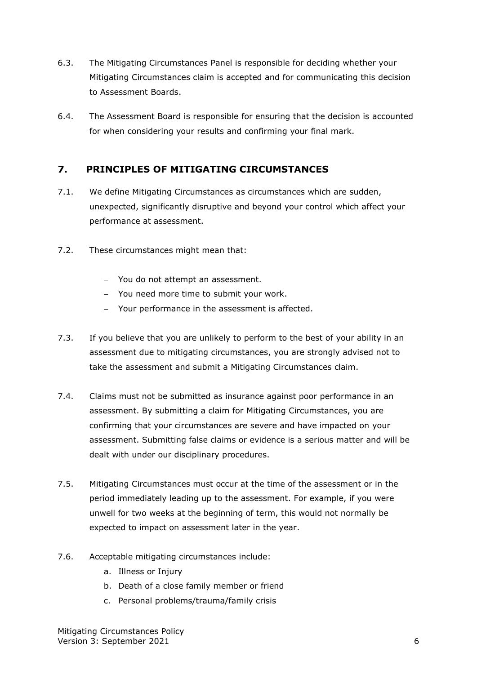- 6.3. The Mitigating Circumstances Panel is responsible for deciding whether your Mitigating Circumstances claim is accepted and for communicating this decision to Assessment Boards.
- 6.4. The Assessment Board is responsible for ensuring that the decision is accounted for when considering your results and confirming your final mark.

### <span id="page-5-0"></span>**7. PRINCIPLES OF MITIGATING CIRCUMSTANCES**

- 7.1. We define Mitigating Circumstances as circumstances which are sudden, unexpected, significantly disruptive and beyond your control which affect your performance at assessment.
- 7.2. These circumstances might mean that:
	- − You do not attempt an assessment.
	- − You need more time to submit your work.
	- − Your performance in the assessment is affected.
- 7.3. If you believe that you are unlikely to perform to the best of your ability in an assessment due to mitigating circumstances, you are strongly advised not to take the assessment and submit a Mitigating Circumstances claim.
- 7.4. Claims must not be submitted as insurance against poor performance in an assessment. By submitting a claim for Mitigating Circumstances, you are confirming that your circumstances are severe and have impacted on your assessment. Submitting false claims or evidence is a serious matter and will be dealt with under our disciplinary procedures.
- 7.5. Mitigating Circumstances must occur at the time of the assessment or in the period immediately leading up to the assessment. For example, if you were unwell for two weeks at the beginning of term, this would not normally be expected to impact on assessment later in the year.
- 7.6. Acceptable mitigating circumstances include:
	- a. Illness or Injury
	- b. Death of a close family member or friend
	- c. Personal problems/trauma/family crisis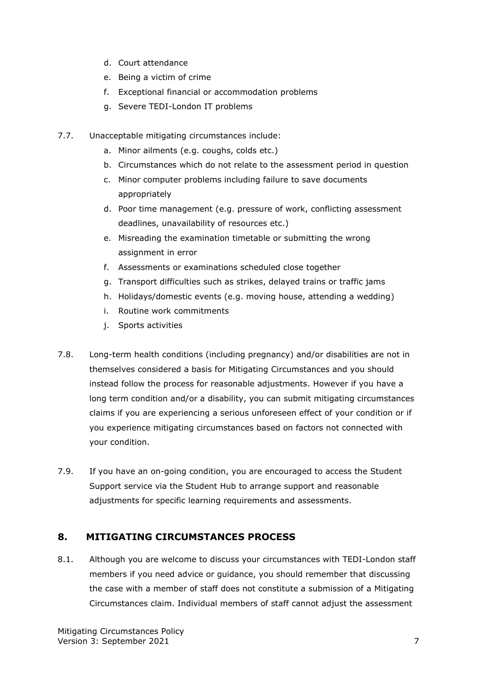- d. Court attendance
- e. Being a victim of crime
- f. Exceptional financial or accommodation problems
- g. Severe TEDI-London IT problems
- 7.7. Unacceptable mitigating circumstances include:
	- a. Minor ailments (e.g. coughs, colds etc.)
	- b. Circumstances which do not relate to the assessment period in question
	- c. Minor computer problems including failure to save documents appropriately
	- d. Poor time management (e.g. pressure of work, conflicting assessment deadlines, unavailability of resources etc.)
	- e. Misreading the examination timetable or submitting the wrong assignment in error
	- f. Assessments or examinations scheduled close together
	- g. Transport difficulties such as strikes, delayed trains or traffic jams
	- h. Holidays/domestic events (e.g. moving house, attending a wedding)
	- i. Routine work commitments
	- j. Sports activities
- 7.8. Long-term health conditions (including pregnancy) and/or disabilities are not in themselves considered a basis for Mitigating Circumstances and you should instead follow the process for reasonable adjustments. However if you have a long term condition and/or a disability, you can submit mitigating circumstances claims if you are experiencing a serious unforeseen effect of your condition or if you experience mitigating circumstances based on factors not connected with your condition.
- 7.9. If you have an on-going condition, you are encouraged to access the Student Support service via the Student Hub to arrange support and reasonable adjustments for specific learning requirements and assessments.

### <span id="page-6-0"></span>**8. MITIGATING CIRCUMSTANCES PROCESS**

8.1. Although you are welcome to discuss your circumstances with TEDI-London staff members if you need advice or guidance, you should remember that discussing the case with a member of staff does not constitute a submission of a Mitigating Circumstances claim. Individual members of staff cannot adjust the assessment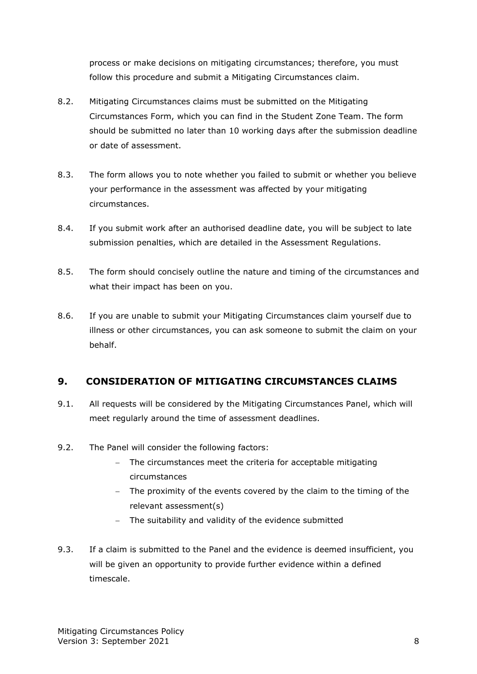process or make decisions on mitigating circumstances; therefore, you must follow this procedure and submit a Mitigating Circumstances claim.

- 8.2. Mitigating Circumstances claims must be submitted on the Mitigating Circumstances Form, which you can find in the Student Zone Team. The form should be submitted no later than 10 working days after the submission deadline or date of assessment.
- 8.3. The form allows you to note whether you failed to submit or whether you believe your performance in the assessment was affected by your mitigating circumstances.
- 8.4. If you submit work after an authorised deadline date, you will be subject to late submission penalties, which are detailed in the Assessment Regulations.
- 8.5. The form should concisely outline the nature and timing of the circumstances and what their impact has been on you.
- 8.6. If you are unable to submit your Mitigating Circumstances claim yourself due to illness or other circumstances, you can ask someone to submit the claim on your behalf.

### <span id="page-7-0"></span>**9. CONSIDERATION OF MITIGATING CIRCUMSTANCES CLAIMS**

- 9.1. All requests will be considered by the Mitigating Circumstances Panel, which will meet regularly around the time of assessment deadlines.
- 9.2. The Panel will consider the following factors:
	- − The circumstances meet the criteria for acceptable mitigating circumstances
	- − The proximity of the events covered by the claim to the timing of the relevant assessment(s)
	- − The suitability and validity of the evidence submitted
- 9.3. If a claim is submitted to the Panel and the evidence is deemed insufficient, you will be given an opportunity to provide further evidence within a defined timescale.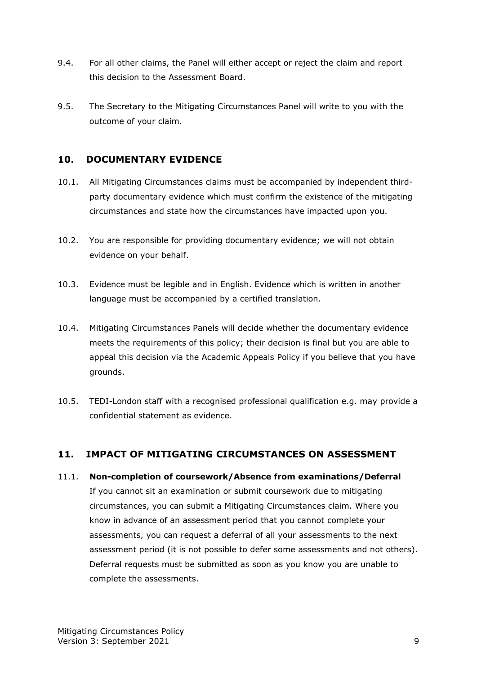- 9.4. For all other claims, the Panel will either accept or reject the claim and report this decision to the Assessment Board.
- 9.5. The Secretary to the Mitigating Circumstances Panel will write to you with the outcome of your claim.

### <span id="page-8-0"></span>**10. DOCUMENTARY EVIDENCE**

- 10.1. All Mitigating Circumstances claims must be accompanied by independent thirdparty documentary evidence which must confirm the existence of the mitigating circumstances and state how the circumstances have impacted upon you.
- 10.2. You are responsible for providing documentary evidence; we will not obtain evidence on your behalf.
- 10.3. Evidence must be legible and in English. Evidence which is written in another language must be accompanied by a certified translation.
- 10.4. Mitigating Circumstances Panels will decide whether the documentary evidence meets the requirements of this policy; their decision is final but you are able to appeal this decision via the Academic Appeals Policy if you believe that you have grounds.
- 10.5. TEDI-London staff with a recognised professional qualification e.g. may provide a confidential statement as evidence.

### <span id="page-8-1"></span>**11. IMPACT OF MITIGATING CIRCUMSTANCES ON ASSESSMENT**

11.1. **Non-completion of coursework/Absence from examinations/Deferral** If you cannot sit an examination or submit coursework due to mitigating circumstances, you can submit a Mitigating Circumstances claim. Where you know in advance of an assessment period that you cannot complete your assessments, you can request a deferral of all your assessments to the next assessment period (it is not possible to defer some assessments and not others). Deferral requests must be submitted as soon as you know you are unable to complete the assessments.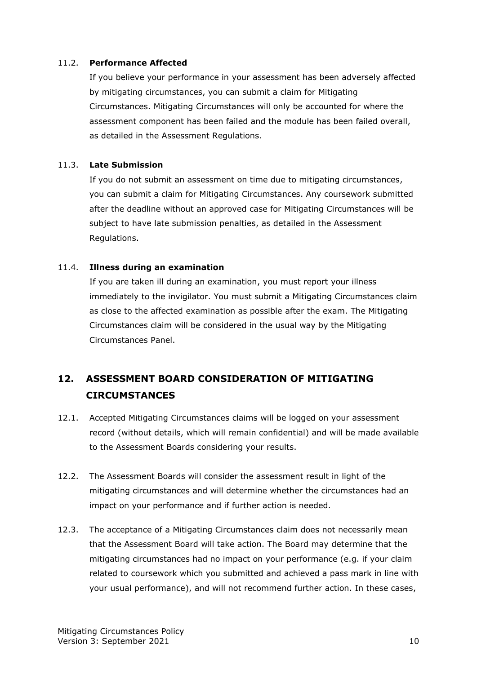#### 11.2. **Performance Affected**

If you believe your performance in your assessment has been adversely affected by mitigating circumstances, you can submit a claim for Mitigating Circumstances. Mitigating Circumstances will only be accounted for where the assessment component has been failed and the module has been failed overall, as detailed in the Assessment Regulations.

#### 11.3. **Late Submission**

If you do not submit an assessment on time due to mitigating circumstances, you can submit a claim for Mitigating Circumstances. Any coursework submitted after the deadline without an approved case for Mitigating Circumstances will be subject to have late submission penalties, as detailed in the Assessment Regulations.

#### 11.4. **Illness during an examination**

If you are taken ill during an examination, you must report your illness immediately to the invigilator. You must submit a Mitigating Circumstances claim as close to the affected examination as possible after the exam. The Mitigating Circumstances claim will be considered in the usual way by the Mitigating Circumstances Panel.

# <span id="page-9-0"></span>**12. ASSESSMENT BOARD CONSIDERATION OF MITIGATING CIRCUMSTANCES**

- 12.1. Accepted Mitigating Circumstances claims will be logged on your assessment record (without details, which will remain confidential) and will be made available to the Assessment Boards considering your results.
- 12.2. The Assessment Boards will consider the assessment result in light of the mitigating circumstances and will determine whether the circumstances had an impact on your performance and if further action is needed.
- 12.3. The acceptance of a Mitigating Circumstances claim does not necessarily mean that the Assessment Board will take action. The Board may determine that the mitigating circumstances had no impact on your performance (e.g. if your claim related to coursework which you submitted and achieved a pass mark in line with your usual performance), and will not recommend further action. In these cases,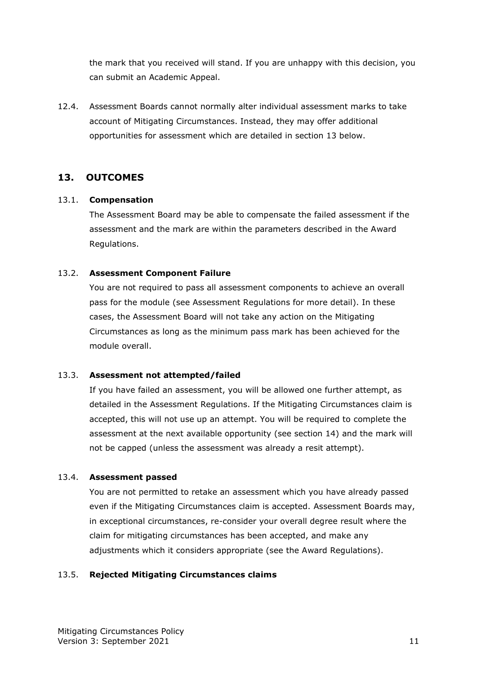the mark that you received will stand. If you are unhappy with this decision, you can submit an Academic Appeal.

12.4. Assessment Boards cannot normally alter individual assessment marks to take account of Mitigating Circumstances. Instead, they may offer additional opportunities for assessment which are detailed in section 13 below.

### <span id="page-10-0"></span>**13. OUTCOMES**

#### 13.1. **Compensation**

The Assessment Board may be able to compensate the failed assessment if the assessment and the mark are within the parameters described in the Award Regulations.

#### 13.2. **Assessment Component Failure**

You are not required to pass all assessment components to achieve an overall pass for the module (see Assessment Regulations for more detail). In these cases, the Assessment Board will not take any action on the Mitigating Circumstances as long as the minimum pass mark has been achieved for the module overall.

#### 13.3. **Assessment not attempted/failed**

If you have failed an assessment, you will be allowed one further attempt, as detailed in the Assessment Regulations. If the Mitigating Circumstances claim is accepted, this will not use up an attempt. You will be required to complete the assessment at the next available opportunity (see section 14) and the mark will not be capped (unless the assessment was already a resit attempt).

#### 13.4. **Assessment passed**

You are not permitted to retake an assessment which you have already passed even if the Mitigating Circumstances claim is accepted. Assessment Boards may, in exceptional circumstances, re-consider your overall degree result where the claim for mitigating circumstances has been accepted, and make any adjustments which it considers appropriate (see the Award Regulations).

#### 13.5. **Rejected Mitigating Circumstances claims**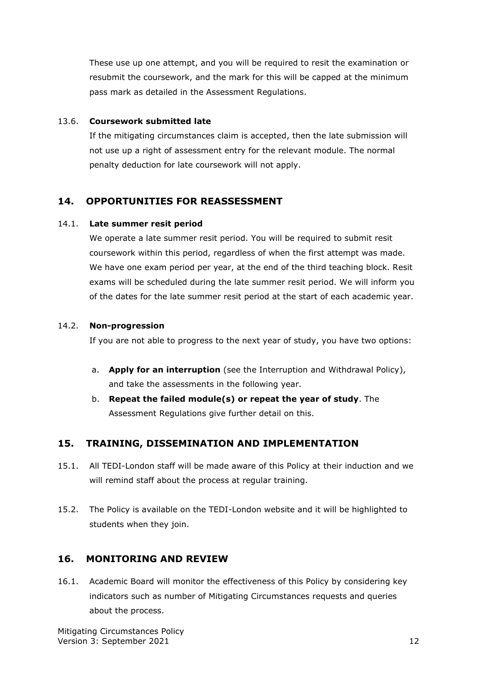These use up one attempt, and you will be required to resit the examination or resubmit the coursework, and the mark for this will be capped at the minimum pass mark as detailed in the Assessment Regulations.

#### 13.6. **Coursework submitted late**

If the mitigating circumstances claim is accepted, then the late submission will not use up a right of assessment entry for the relevant module. The normal penalty deduction for late coursework will not apply.

### <span id="page-11-0"></span>**14. OPPORTUNITIES FOR REASSESSMENT**

#### 14.1. **Late summer resit period**

We operate a late summer resit period. You will be required to submit resit coursework within this period, regardless of when the first attempt was made. We have one exam period per year, at the end of the third teaching block. Resit exams will be scheduled during the late summer resit period. We will inform you of the dates for the late summer resit period at the start of each academic year.

#### 14.2. **Non-progression**

If you are not able to progress to the next year of study, you have two options:

- a. **Apply for an interruption** (see the Interruption and Withdrawal Policy), and take the assessments in the following year.
- b. **Repeat the failed module(s) or repeat the year of study**. The Assessment Regulations give further detail on this.

### <span id="page-11-1"></span>**15. TRAINING, DISSEMINATION AND IMPLEMENTATION**

- 15.1. All TEDI-London staff will be made aware of this Policy at their induction and we will remind staff about the process at regular training.
- 15.2. The Policy is available on the TEDI-London website and it will be highlighted to students when they join.

### <span id="page-11-2"></span>**16. MONITORING AND REVIEW**

16.1. Academic Board will monitor the effectiveness of this Policy by considering key indicators such as number of Mitigating Circumstances requests and queries about the process.